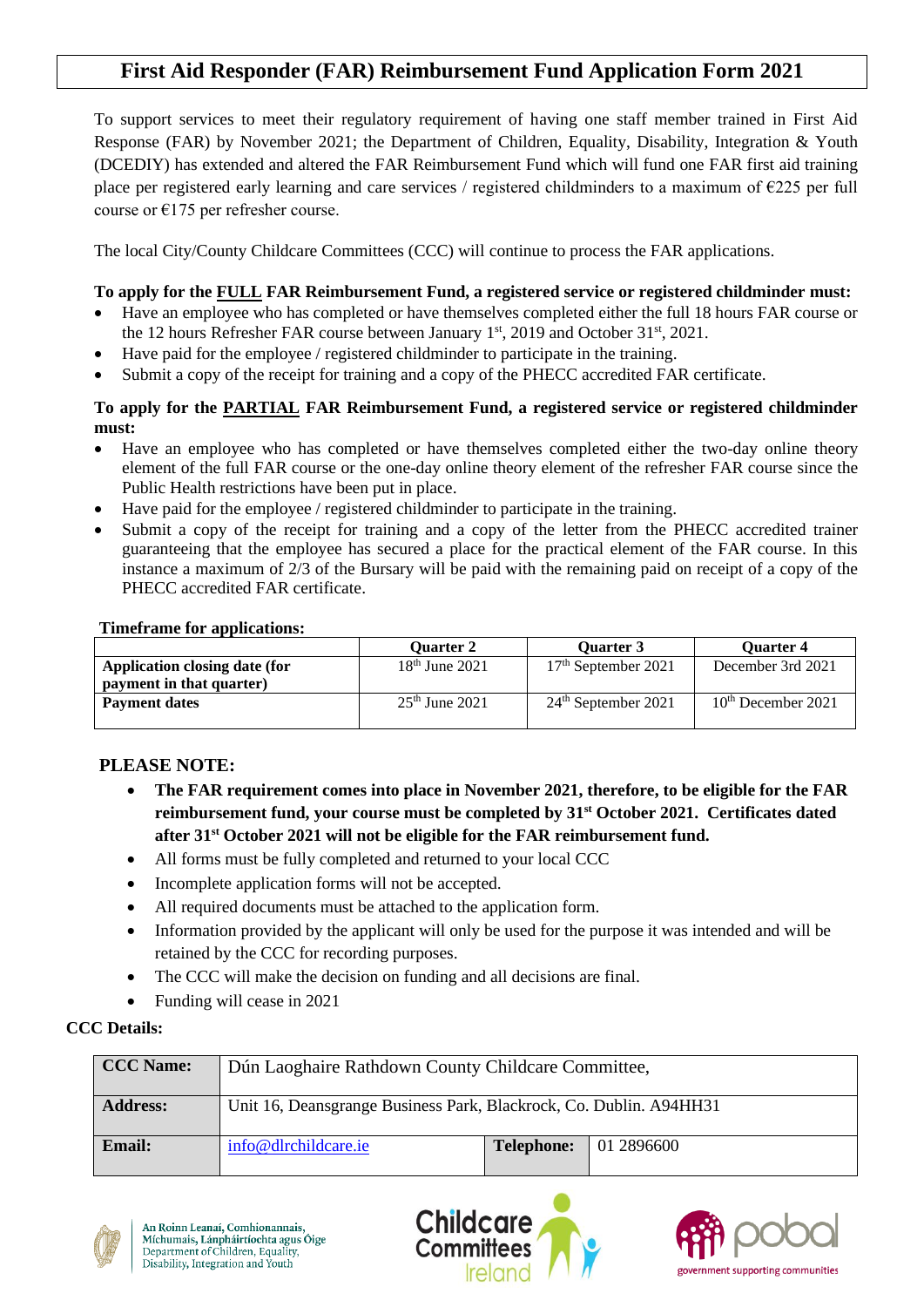# **First Aid Responder (FAR) Reimbursement Fund Application Form 2021**

To support services to meet their regulatory requirement of having one staff member trained in First Aid Response (FAR) by November 2021; the Department of Children, Equality, Disability, Integration & Youth (DCEDIY) has extended and altered the FAR Reimbursement Fund which will fund one FAR first aid training place per registered early learning and care services / registered childminders to a maximum of €225 per full course or  $E175$  per refresher course.

The local City/County Childcare Committees (CCC) will continue to process the FAR applications.

## **To apply for the FULL FAR Reimbursement Fund, a registered service or registered childminder must:**

- Have an employee who has completed or have themselves completed either the full 18 hours FAR course or the 12 hours Refresher FAR course between January 1<sup>st</sup>, 2019 and October 31<sup>st</sup>, 2021.
- Have paid for the employee / registered childminder to participate in the training.
- Submit a copy of the receipt for training and a copy of the PHECC accredited FAR certificate.

#### **To apply for the PARTIAL FAR Reimbursement Fund, a registered service or registered childminder must:**

- Have an employee who has completed or have themselves completed either the two-day online theory element of the full FAR course or the one-day online theory element of the refresher FAR course since the Public Health restrictions have been put in place.
- Have paid for the employee / registered childminder to participate in the training.
- Submit a copy of the receipt for training and a copy of the letter from the PHECC accredited trainer guaranteeing that the employee has secured a place for the practical element of the FAR course. In this instance a maximum of 2/3 of the Bursary will be paid with the remaining paid on receipt of a copy of the PHECC accredited FAR certificate.

#### **Timeframe for applications:**

|                               | <b>Ouarter 2</b> | <b>Ouarter 3</b>      | <b>Ouarter 4</b>     |
|-------------------------------|------------------|-----------------------|----------------------|
| Application closing date (for | $18th$ June 2021 | $17th$ September 2021 | December 3rd 2021    |
| payment in that quarter)      |                  |                       |                      |
| <b>Payment dates</b>          | $25th$ June 2021 | $24th$ September 2021 | $10th$ December 2021 |
|                               |                  |                       |                      |

# **PLEASE NOTE:**

- **The FAR requirement comes into place in November 2021, therefore, to be eligible for the FAR reimbursement fund, your course must be completed by 31st October 2021. Certificates dated after 31st October 2021 will not be eligible for the FAR reimbursement fund.**
- All forms must be fully completed and returned to your local CCC
- Incomplete application forms will not be accepted.
- All required documents must be attached to the application form.
- Information provided by the applicant will only be used for the purpose it was intended and will be retained by the CCC for recording purposes.
- The CCC will make the decision on funding and all decisions are final.
- Funding will cease in 2021

## **CCC Details:**

| CCC Name:       | Dún Laoghaire Rathdown County Childcare Committee,                 |                   |            |
|-----------------|--------------------------------------------------------------------|-------------------|------------|
| <b>Address:</b> | Unit 16, Deansgrange Business Park, Blackrock, Co. Dublin. A94HH31 |                   |            |
| Email:          | info@dlrchildcare.ie                                               | <b>Telephone:</b> | 01 2896600 |